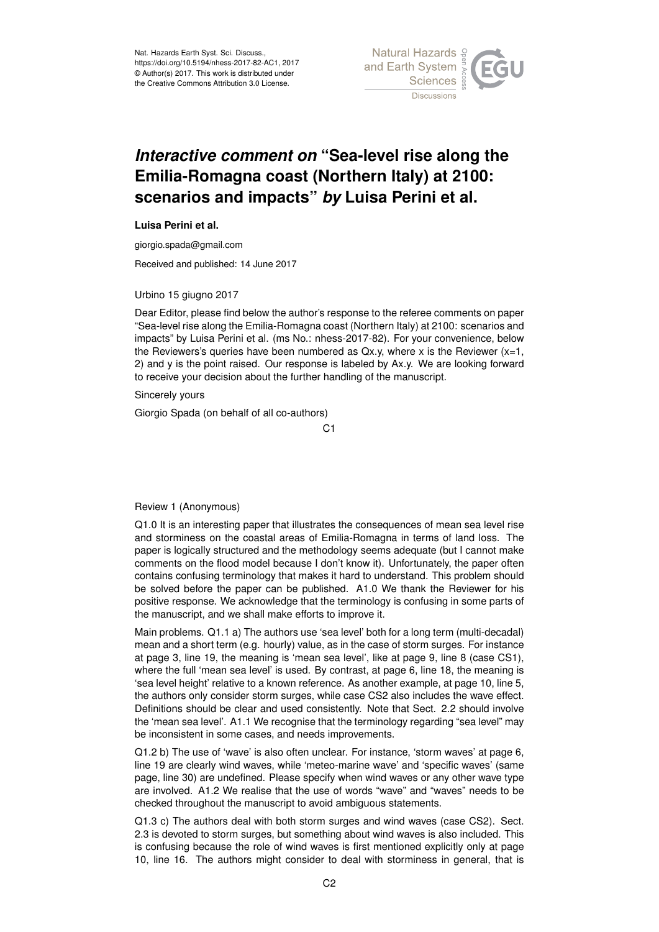

## *Interactive comment on* **"Sea-level rise along the Emilia-Romagna coast (Northern Italy) at 2100: scenarios and impacts"** *by* **Luisa Perini et al.**

## **Luisa Perini et al.**

giorgio.spada@gmail.com

Received and published: 14 June 2017

Urbino 15 giugno 2017

Dear Editor, please find below the author's response to the referee comments on paper "Sea-level rise along the Emilia-Romagna coast (Northern Italy) at 2100: scenarios and impacts" by Luisa Perini et al. (ms No.: nhess-2017-82). For your convenience, below the Reviewers's queries have been numbered as  $Qx.y$ , where x is the Reviewer  $(x=1,$ 2) and y is the point raised. Our response is labeled by Ax.y. We are looking forward to receive your decision about the further handling of the manuscript.

Sincerely yours

Giorgio Spada (on behalf of all co-authors)

 $C<sub>1</sub>$ 

Review 1 (Anonymous)

Q1.0 It is an interesting paper that illustrates the consequences of mean sea level rise and storminess on the coastal areas of Emilia-Romagna in terms of land loss. The paper is logically structured and the methodology seems adequate (but I cannot make comments on the flood model because I don't know it). Unfortunately, the paper often contains confusing terminology that makes it hard to understand. This problem should be solved before the paper can be published. A1.0 We thank the Reviewer for his positive response. We acknowledge that the terminology is confusing in some parts of the manuscript, and we shall make efforts to improve it.

Main problems. Q1.1 a) The authors use 'sea level' both for a long term (multi-decadal) mean and a short term (e.g. hourly) value, as in the case of storm surges. For instance at page 3, line 19, the meaning is 'mean sea level', like at page 9, line 8 (case CS1), where the full 'mean sea level' is used. By contrast, at page 6, line 18, the meaning is 'sea level height' relative to a known reference. As another example, at page 10, line 5, the authors only consider storm surges, while case CS2 also includes the wave effect. Definitions should be clear and used consistently. Note that Sect. 2.2 should involve the 'mean sea level'. A1.1 We recognise that the terminology regarding "sea level" may be inconsistent in some cases, and needs improvements.

Q1.2 b) The use of 'wave' is also often unclear. For instance, 'storm waves' at page 6, line 19 are clearly wind waves, while 'meteo-marine wave' and 'specific waves' (same page, line 30) are undefined. Please specify when wind waves or any other wave type are involved. A1.2 We realise that the use of words "wave" and "waves" needs to be checked throughout the manuscript to avoid ambiguous statements.

Q1.3 c) The authors deal with both storm surges and wind waves (case CS2). Sect. 2.3 is devoted to storm surges, but something about wind waves is also included. This is confusing because the role of wind waves is first mentioned explicitly only at page 10, line 16. The authors might consider to deal with storminess in general, that is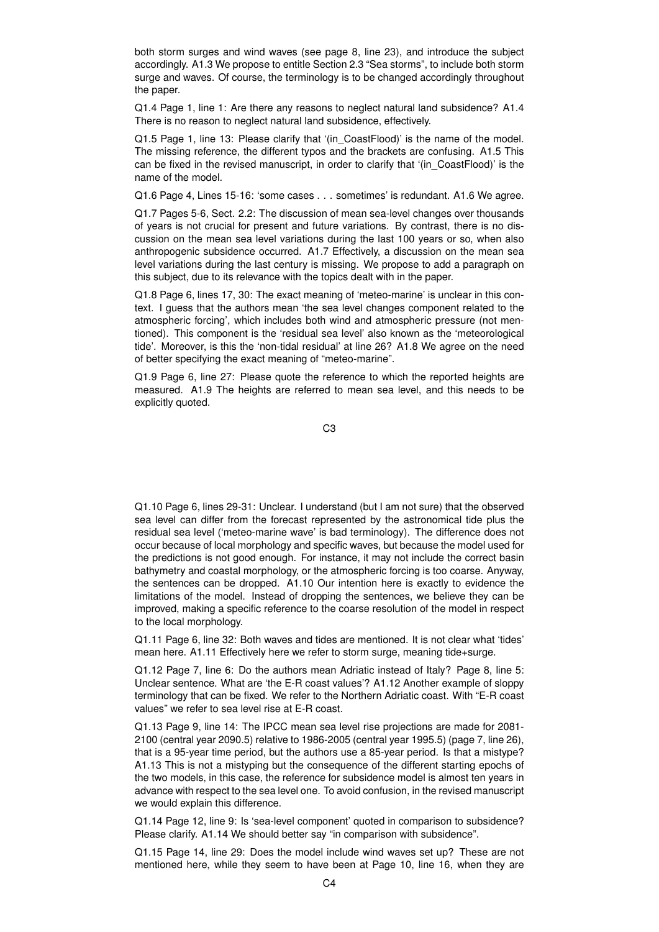both storm surges and wind waves (see page 8, line 23), and introduce the subject accordingly. A1.3 We propose to entitle Section 2.3 "Sea storms", to include both storm surge and waves. Of course, the terminology is to be changed accordingly throughout the paper.

Q1.4 Page 1, line 1: Are there any reasons to neglect natural land subsidence? A1.4 There is no reason to neglect natural land subsidence, effectively.

Q1.5 Page 1, line 13: Please clarify that '(in\_CoastFlood)' is the name of the model. The missing reference, the different typos and the brackets are confusing. A1.5 This can be fixed in the revised manuscript, in order to clarify that '(in\_CoastFlood)' is the name of the model.

Q1.6 Page 4, Lines 15-16: 'some cases . . . sometimes' is redundant. A1.6 We agree.

Q1.7 Pages 5-6, Sect. 2.2: The discussion of mean sea-level changes over thousands of years is not crucial for present and future variations. By contrast, there is no discussion on the mean sea level variations during the last 100 years or so, when also anthropogenic subsidence occurred. A1.7 Effectively, a discussion on the mean sea level variations during the last century is missing. We propose to add a paragraph on this subject, due to its relevance with the topics dealt with in the paper.

Q1.8 Page 6, lines 17, 30: The exact meaning of 'meteo-marine' is unclear in this context. I guess that the authors mean 'the sea level changes component related to the atmospheric forcing', which includes both wind and atmospheric pressure (not mentioned). This component is the 'residual sea level' also known as the 'meteorological tide'. Moreover, is this the 'non-tidal residual' at line 26? A1.8 We agree on the need of better specifying the exact meaning of "meteo-marine".

Q1.9 Page 6, line 27: Please quote the reference to which the reported heights are measured. A1.9 The heights are referred to mean sea level, and this needs to be explicitly quoted.

C3

Q1.10 Page 6, lines 29-31: Unclear. I understand (but I am not sure) that the observed sea level can differ from the forecast represented by the astronomical tide plus the residual sea level ('meteo-marine wave' is bad terminology). The difference does not occur because of local morphology and specific waves, but because the model used for the predictions is not good enough. For instance, it may not include the correct basin bathymetry and coastal morphology, or the atmospheric forcing is too coarse. Anyway, the sentences can be dropped. A1.10 Our intention here is exactly to evidence the limitations of the model. Instead of dropping the sentences, we believe they can be improved, making a specific reference to the coarse resolution of the model in respect to the local morphology.

Q1.11 Page 6, line 32: Both waves and tides are mentioned. It is not clear what 'tides' mean here. A1.11 Effectively here we refer to storm surge, meaning tide+surge.

Q1.12 Page 7, line 6: Do the authors mean Adriatic instead of Italy? Page 8, line 5: Unclear sentence. What are 'the E-R coast values'? A1.12 Another example of sloppy terminology that can be fixed. We refer to the Northern Adriatic coast. With "E-R coast values" we refer to sea level rise at E-R coast.

Q1.13 Page 9, line 14: The IPCC mean sea level rise projections are made for 2081- 2100 (central year 2090.5) relative to 1986-2005 (central year 1995.5) (page 7, line 26), that is a 95-year time period, but the authors use a 85-year period. Is that a mistype? A1.13 This is not a mistyping but the consequence of the different starting epochs of the two models, in this case, the reference for subsidence model is almost ten years in advance with respect to the sea level one. To avoid confusion, in the revised manuscript we would explain this difference.

Q1.14 Page 12, line 9: Is 'sea-level component' quoted in comparison to subsidence? Please clarify. A1.14 We should better say "in comparison with subsidence".

Q1.15 Page 14, line 29: Does the model include wind waves set up? These are not mentioned here, while they seem to have been at Page 10, line 16, when they are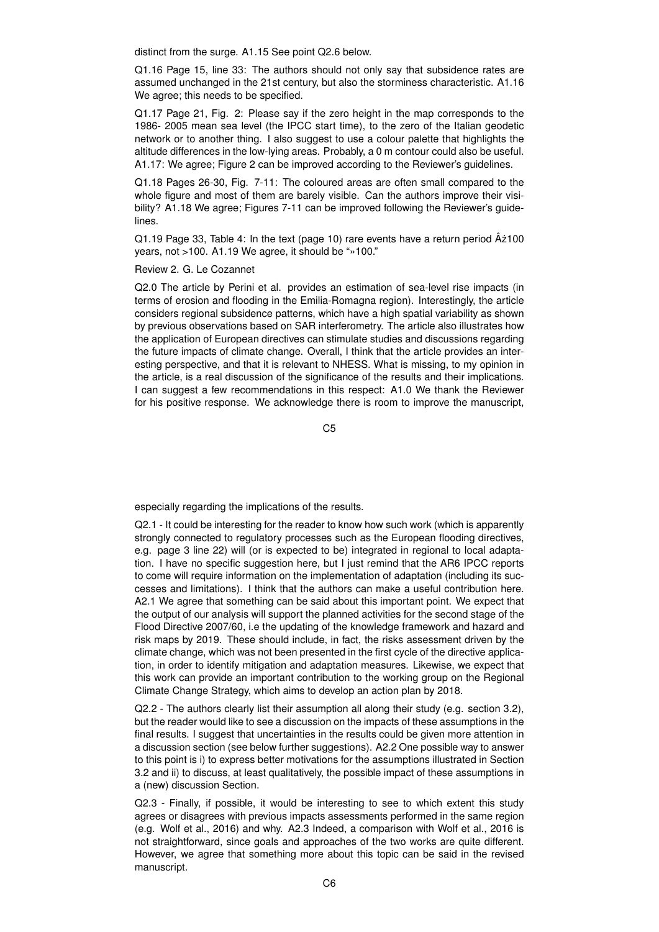distinct from the surge. A1.15 See point Q2.6 below.

Q1.16 Page 15, line 33: The authors should not only say that subsidence rates are assumed unchanged in the 21st century, but also the storminess characteristic. A1.16 We agree; this needs to be specified.

Q1.17 Page 21, Fig. 2: Please say if the zero height in the map corresponds to the 1986- 2005 mean sea level (the IPCC start time), to the zero of the Italian geodetic network or to another thing. I also suggest to use a colour palette that highlights the altitude differences in the low-lying areas. Probably, a 0 m contour could also be useful. A1.17: We agree; Figure 2 can be improved according to the Reviewer's guidelines.

Q1.18 Pages 26-30, Fig. 7-11: The coloured areas are often small compared to the whole figure and most of them are barely visible. Can the authors improve their visibility? A1.18 We agree; Figures 7-11 can be improved following the Reviewer's guidelines.

 $Q1.19$  Page 33, Table 4: In the text (page 10) rare events have a return period  $\hat{A}z100$ years, not >100. A1.19 We agree, it should be "»100."

Review 2. G. Le Cozannet

Q2.0 The article by Perini et al. provides an estimation of sea-level rise impacts (in terms of erosion and flooding in the Emilia-Romagna region). Interestingly, the article considers regional subsidence patterns, which have a high spatial variability as shown by previous observations based on SAR interferometry. The article also illustrates how the application of European directives can stimulate studies and discussions regarding the future impacts of climate change. Overall, I think that the article provides an interesting perspective, and that it is relevant to NHESS. What is missing, to my opinion in the article, is a real discussion of the significance of the results and their implications. I can suggest a few recommendations in this respect: A1.0 We thank the Reviewer for his positive response. We acknowledge there is room to improve the manuscript,

C5

especially regarding the implications of the results.

Q2.1 - It could be interesting for the reader to know how such work (which is apparently strongly connected to regulatory processes such as the European flooding directives, e.g. page 3 line 22) will (or is expected to be) integrated in regional to local adaptation. I have no specific suggestion here, but I just remind that the AR6 IPCC reports to come will require information on the implementation of adaptation (including its successes and limitations). I think that the authors can make a useful contribution here. A2.1 We agree that something can be said about this important point. We expect that the output of our analysis will support the planned activities for the second stage of the Flood Directive 2007/60, i.e the updating of the knowledge framework and hazard and risk maps by 2019. These should include, in fact, the risks assessment driven by the climate change, which was not been presented in the first cycle of the directive application, in order to identify mitigation and adaptation measures. Likewise, we expect that this work can provide an important contribution to the working group on the Regional Climate Change Strategy, which aims to develop an action plan by 2018.

Q2.2 - The authors clearly list their assumption all along their study (e.g. section 3.2), but the reader would like to see a discussion on the impacts of these assumptions in the final results. I suggest that uncertainties in the results could be given more attention in a discussion section (see below further suggestions). A2.2 One possible way to answer to this point is i) to express better motivations for the assumptions illustrated in Section 3.2 and ii) to discuss, at least qualitatively, the possible impact of these assumptions in a (new) discussion Section.

Q2.3 - Finally, if possible, it would be interesting to see to which extent this study agrees or disagrees with previous impacts assessments performed in the same region (e.g. Wolf et al., 2016) and why. A2.3 Indeed, a comparison with Wolf et al., 2016 is not straightforward, since goals and approaches of the two works are quite different. However, we agree that something more about this topic can be said in the revised manuscript.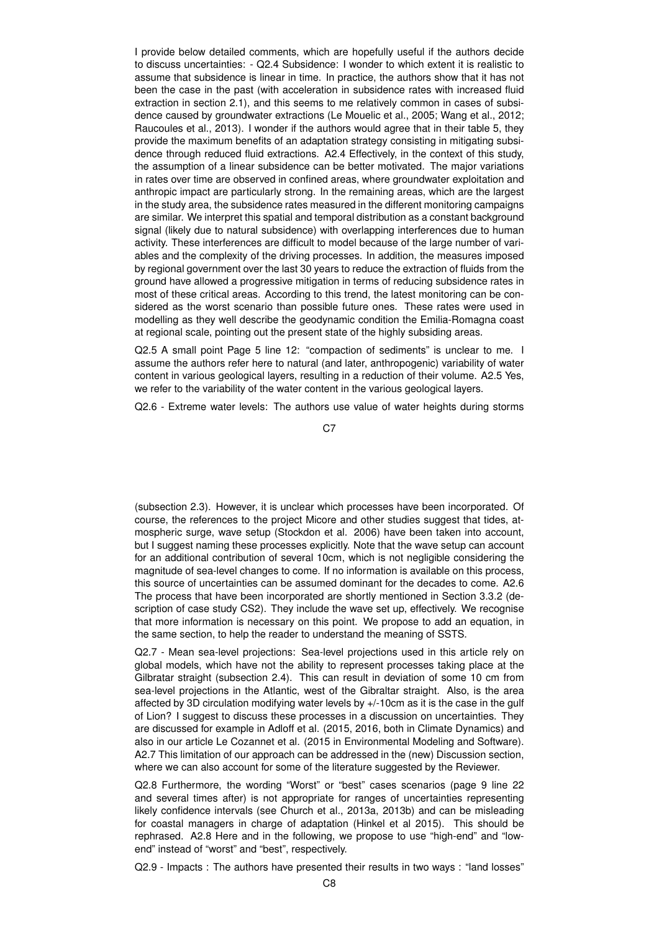I provide below detailed comments, which are hopefully useful if the authors decide to discuss uncertainties: - Q2.4 Subsidence: I wonder to which extent it is realistic to assume that subsidence is linear in time. In practice, the authors show that it has not been the case in the past (with acceleration in subsidence rates with increased fluid extraction in section 2.1), and this seems to me relatively common in cases of subsidence caused by groundwater extractions (Le Mouelic et al., 2005; Wang et al., 2012; Raucoules et al., 2013). I wonder if the authors would agree that in their table 5, they provide the maximum benefits of an adaptation strategy consisting in mitigating subsidence through reduced fluid extractions. A2.4 Effectively, in the context of this study, the assumption of a linear subsidence can be better motivated. The major variations in rates over time are observed in confined areas, where groundwater exploitation and anthropic impact are particularly strong. In the remaining areas, which are the largest in the study area, the subsidence rates measured in the different monitoring campaigns are similar. We interpret this spatial and temporal distribution as a constant background signal (likely due to natural subsidence) with overlapping interferences due to human activity. These interferences are difficult to model because of the large number of variables and the complexity of the driving processes. In addition, the measures imposed by regional government over the last 30 years to reduce the extraction of fluids from the ground have allowed a progressive mitigation in terms of reducing subsidence rates in most of these critical areas. According to this trend, the latest monitoring can be considered as the worst scenario than possible future ones. These rates were used in modelling as they well describe the geodynamic condition the Emilia-Romagna coast at regional scale, pointing out the present state of the highly subsiding areas.

Q2.5 A small point Page 5 line 12: "compaction of sediments" is unclear to me. I assume the authors refer here to natural (and later, anthropogenic) variability of water content in various geological layers, resulting in a reduction of their volume. A2.5 Yes, we refer to the variability of the water content in the various geological layers.

Q2.6 - Extreme water levels: The authors use value of water heights during storms

C<sub>7</sub>

(subsection 2.3). However, it is unclear which processes have been incorporated. Of course, the references to the project Micore and other studies suggest that tides, atmospheric surge, wave setup (Stockdon et al. 2006) have been taken into account, but I suggest naming these processes explicitly. Note that the wave setup can account for an additional contribution of several 10cm, which is not negligible considering the magnitude of sea-level changes to come. If no information is available on this process, this source of uncertainties can be assumed dominant for the decades to come. A2.6 The process that have been incorporated are shortly mentioned in Section 3.3.2 (description of case study CS2). They include the wave set up, effectively. We recognise that more information is necessary on this point. We propose to add an equation, in the same section, to help the reader to understand the meaning of SSTS.

Q2.7 - Mean sea-level projections: Sea-level projections used in this article rely on global models, which have not the ability to represent processes taking place at the Gilbratar straight (subsection 2.4). This can result in deviation of some 10 cm from sea-level projections in the Atlantic, west of the Gibraltar straight. Also, is the area affected by 3D circulation modifying water levels by +/-10cm as it is the case in the gulf of Lion? I suggest to discuss these processes in a discussion on uncertainties. They are discussed for example in Adloff et al. (2015, 2016, both in Climate Dynamics) and also in our article Le Cozannet et al. (2015 in Environmental Modeling and Software). A2.7 This limitation of our approach can be addressed in the (new) Discussion section, where we can also account for some of the literature suggested by the Reviewer.

Q2.8 Furthermore, the wording "Worst" or "best" cases scenarios (page 9 line 22 and several times after) is not appropriate for ranges of uncertainties representing likely confidence intervals (see Church et al., 2013a, 2013b) and can be misleading for coastal managers in charge of adaptation (Hinkel et al 2015). This should be rephrased. A2.8 Here and in the following, we propose to use "high-end" and "lowend" instead of "worst" and "best", respectively.

Q2.9 - Impacts : The authors have presented their results in two ways : "land losses"